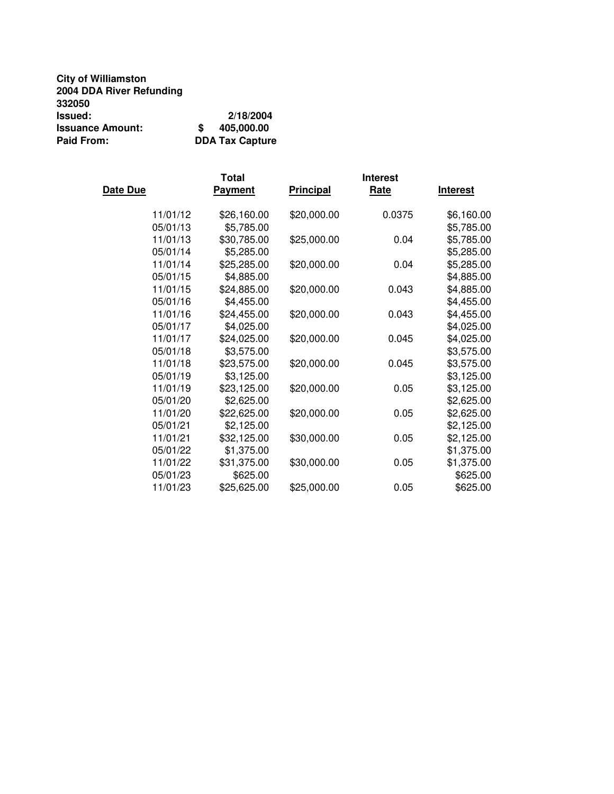| <b>City of Williamston</b> |                        |
|----------------------------|------------------------|
| 2004 DDA River Refunding   |                        |
| 332050                     |                        |
| Issued:                    | 2/18/2004              |
| <b>Issuance Amount:</b>    | 405,000.00<br>S        |
| <b>Paid From:</b>          | <b>DDA Tax Capture</b> |

|          | Total          |                  | <b>Interest</b> |                 |
|----------|----------------|------------------|-----------------|-----------------|
| Date Due | <b>Payment</b> | <b>Principal</b> | Rate            | <b>Interest</b> |
| 11/01/12 | \$26,160.00    | \$20,000.00      | 0.0375          | \$6,160.00      |
| 05/01/13 | \$5,785.00     |                  |                 | \$5,785.00      |
| 11/01/13 | \$30,785.00    | \$25,000.00      | 0.04            | \$5,785.00      |
| 05/01/14 | \$5,285.00     |                  |                 | \$5,285.00      |
| 11/01/14 | \$25,285.00    | \$20,000.00      | 0.04            | \$5,285.00      |
| 05/01/15 | \$4,885.00     |                  |                 | \$4,885.00      |
| 11/01/15 | \$24,885.00    | \$20,000.00      | 0.043           | \$4,885.00      |
| 05/01/16 | \$4,455.00     |                  |                 | \$4,455.00      |
| 11/01/16 | \$24,455.00    | \$20,000.00      | 0.043           | \$4,455.00      |
| 05/01/17 | \$4,025.00     |                  |                 | \$4,025.00      |
| 11/01/17 | \$24,025.00    | \$20,000.00      | 0.045           | \$4,025.00      |
| 05/01/18 | \$3,575.00     |                  |                 | \$3,575.00      |
| 11/01/18 | \$23,575.00    | \$20,000.00      | 0.045           | \$3,575.00      |
| 05/01/19 | \$3,125.00     |                  |                 | \$3,125.00      |
| 11/01/19 | \$23,125.00    | \$20,000.00      | 0.05            | \$3,125.00      |
| 05/01/20 | \$2,625.00     |                  |                 | \$2,625.00      |
| 11/01/20 | \$22,625.00    | \$20,000.00      | 0.05            | \$2,625.00      |
| 05/01/21 | \$2,125.00     |                  |                 | \$2,125.00      |
| 11/01/21 | \$32,125.00    | \$30,000.00      | 0.05            | \$2,125.00      |
| 05/01/22 | \$1,375.00     |                  |                 | \$1,375.00      |
| 11/01/22 | \$31,375.00    | \$30,000.00      | 0.05            | \$1,375.00      |
| 05/01/23 | \$625.00       |                  |                 | \$625.00        |
| 11/01/23 | \$25,625.00    | \$25,000.00      | 0.05            | \$625.00        |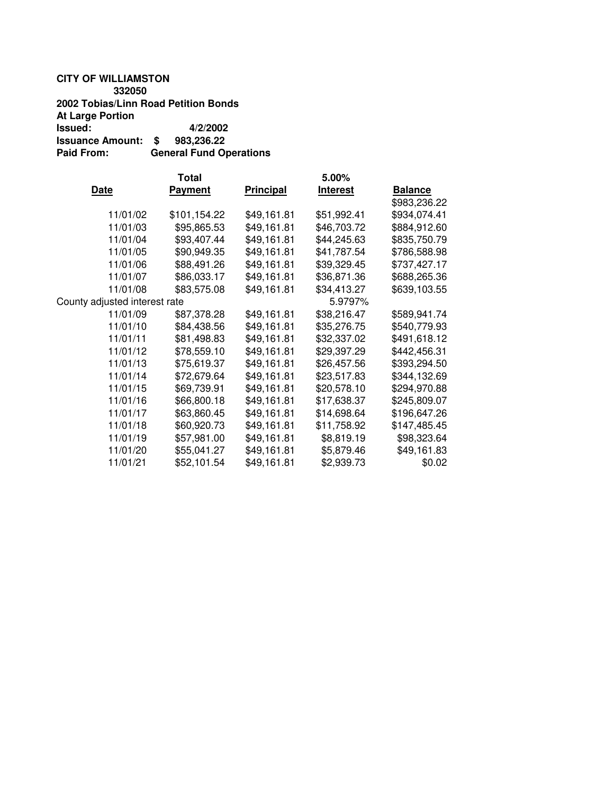### **CITY OF WILLIAMSTON 332050 2002 Tobias/Linn Road Petition Bonds At Large Portion Issued: 4/2/2002 Issuance Amount: \$ 983,236.22 Paid From: General Fund Operations**

|                               | Total          |                  | 5.00%           |                |
|-------------------------------|----------------|------------------|-----------------|----------------|
| <b>Date</b>                   | <b>Payment</b> | <b>Principal</b> | <b>Interest</b> | <b>Balance</b> |
|                               |                |                  |                 | \$983,236.22   |
| 11/01/02                      | \$101,154.22   | \$49,161.81      | \$51,992.41     | \$934,074.41   |
| 11/01/03                      | \$95,865.53    | \$49,161.81      | \$46,703.72     | \$884,912.60   |
| 11/01/04                      | \$93,407.44    | \$49,161.81      | \$44,245.63     | \$835,750.79   |
| 11/01/05                      | \$90,949.35    | \$49,161.81      | \$41,787.54     | \$786,588.98   |
| 11/01/06                      | \$88,491.26    | \$49,161.81      | \$39,329.45     | \$737,427.17   |
| 11/01/07                      | \$86,033.17    | \$49,161.81      | \$36,871.36     | \$688,265.36   |
| 11/01/08                      | \$83,575.08    | \$49,161.81      | \$34,413.27     | \$639,103.55   |
| County adjusted interest rate |                |                  | 5.9797%         |                |
| 11/01/09                      | \$87,378.28    | \$49,161.81      | \$38,216.47     | \$589,941.74   |
| 11/01/10                      | \$84,438.56    | \$49,161.81      | \$35,276.75     | \$540,779.93   |
| 11/01/11                      | \$81,498.83    | \$49,161.81      | \$32,337.02     | \$491,618.12   |
| 11/01/12                      | \$78,559.10    | \$49,161.81      | \$29,397.29     | \$442,456.31   |
| 11/01/13                      | \$75,619.37    | \$49,161.81      | \$26,457.56     | \$393,294.50   |
| 11/01/14                      | \$72,679.64    | \$49,161.81      | \$23,517.83     | \$344,132.69   |
| 11/01/15                      | \$69,739.91    | \$49,161.81      | \$20,578.10     | \$294,970.88   |
| 11/01/16                      | \$66,800.18    | \$49,161.81      | \$17,638.37     | \$245,809.07   |
| 11/01/17                      | \$63,860.45    | \$49,161.81      | \$14,698.64     | \$196,647.26   |
| 11/01/18                      | \$60,920.73    | \$49,161.81      | \$11,758.92     | \$147,485.45   |
| 11/01/19                      | \$57,981.00    | \$49,161.81      | \$8,819.19      | \$98,323.64    |
| 11/01/20                      | \$55,041.27    | \$49,161.81      | \$5,879.46      | \$49,161.83    |
| 11/01/21                      | \$52,101.54    | \$49,161.81      | \$2,939.73      | \$0.02         |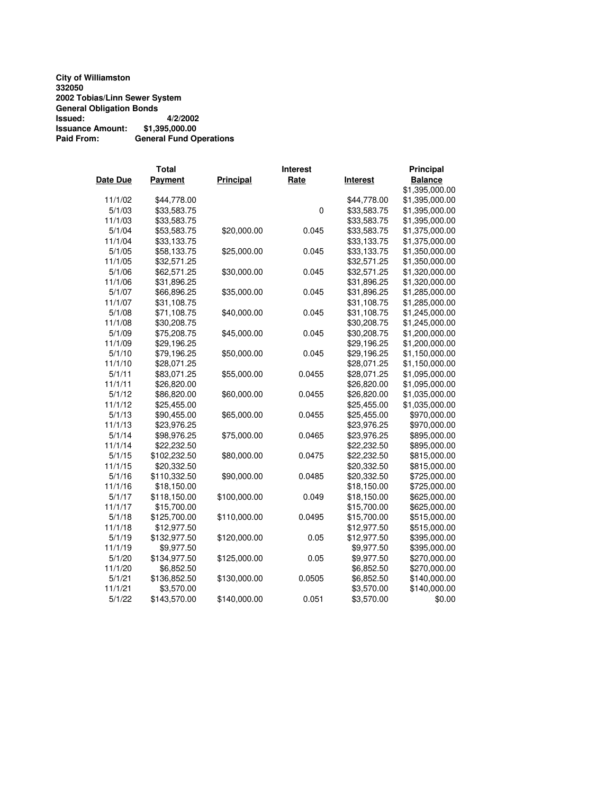**City of Williamston 332050 2002 Tobias/Linn Sewer System General Obligation Bonds Issued: 4/2/2002 Issuance Amount: \$1,395,000.00 Paid From: General Fund Operations**

|          | <b>Total</b>   | <b>Interest</b>  |             |                 | Principal      |
|----------|----------------|------------------|-------------|-----------------|----------------|
| Date Due | <b>Payment</b> | <b>Principal</b> | Rate        | <b>Interest</b> | <b>Balance</b> |
|          |                |                  |             |                 | \$1,395,000.00 |
| 11/1/02  | \$44,778.00    |                  |             | \$44,778.00     | \$1,395,000.00 |
| 5/1/03   | \$33,583.75    |                  | $\mathbf 0$ | \$33,583.75     | \$1,395,000.00 |
| 11/1/03  | \$33,583.75    |                  |             | \$33,583.75     | \$1,395,000.00 |
| 5/1/04   | \$53,583.75    | \$20,000.00      | 0.045       | \$33,583.75     | \$1,375,000.00 |
| 11/1/04  | \$33,133.75    |                  |             | \$33,133.75     | \$1,375,000.00 |
| 5/1/05   | \$58,133.75    | \$25,000.00      | 0.045       | \$33,133.75     | \$1,350,000.00 |
| 11/1/05  | \$32,571.25    |                  |             | \$32,571.25     | \$1,350,000.00 |
| 5/1/06   | \$62,571.25    | \$30,000.00      | 0.045       | \$32,571.25     | \$1,320,000.00 |
| 11/1/06  | \$31,896.25    |                  |             | \$31,896.25     | \$1,320,000.00 |
| 5/1/07   | \$66,896.25    | \$35,000.00      | 0.045       | \$31,896.25     | \$1,285,000.00 |
| 11/1/07  | \$31,108.75    |                  |             | \$31,108.75     | \$1,285,000.00 |
| 5/1/08   | \$71,108.75    | \$40,000.00      | 0.045       | \$31,108.75     | \$1,245,000.00 |
| 11/1/08  | \$30,208.75    |                  |             | \$30,208.75     | \$1,245,000.00 |
| 5/1/09   | \$75,208.75    | \$45,000.00      | 0.045       | \$30,208.75     | \$1,200,000.00 |
| 11/1/09  | \$29,196.25    |                  |             | \$29,196.25     | \$1,200,000.00 |
| 5/1/10   | \$79,196.25    | \$50,000.00      | 0.045       | \$29,196.25     | \$1,150,000.00 |
| 11/1/10  | \$28,071.25    |                  |             | \$28,071.25     | \$1,150,000.00 |
| 5/1/11   | \$83,071.25    | \$55,000.00      | 0.0455      | \$28,071.25     | \$1,095,000.00 |
| 11/1/11  | \$26,820.00    |                  |             | \$26,820.00     | \$1,095,000.00 |
| 5/1/12   | \$86,820.00    | \$60,000.00      | 0.0455      | \$26,820.00     | \$1,035,000.00 |
| 11/1/12  | \$25,455.00    |                  |             | \$25,455.00     | \$1,035,000.00 |
| 5/1/13   | \$90,455.00    | \$65,000.00      | 0.0455      | \$25,455.00     | \$970,000.00   |
| 11/1/13  | \$23,976.25    |                  |             | \$23,976.25     | \$970,000.00   |
| 5/1/14   | \$98,976.25    | \$75,000.00      | 0.0465      | \$23,976.25     | \$895,000.00   |
| 11/1/14  | \$22,232.50    |                  |             | \$22,232.50     | \$895,000.00   |
| 5/1/15   | \$102,232.50   | \$80,000.00      | 0.0475      | \$22,232.50     | \$815,000.00   |
| 11/1/15  | \$20,332.50    |                  |             | \$20,332.50     | \$815,000.00   |
| 5/1/16   | \$110,332.50   | \$90,000.00      | 0.0485      | \$20,332.50     | \$725,000.00   |
| 11/1/16  | \$18,150.00    |                  |             | \$18,150.00     | \$725,000.00   |
| 5/1/17   | \$118,150.00   | \$100,000.00     | 0.049       | \$18,150.00     | \$625,000.00   |
| 11/1/17  | \$15,700.00    |                  |             | \$15,700.00     | \$625,000.00   |
| 5/1/18   | \$125,700.00   | \$110,000.00     | 0.0495      | \$15,700.00     | \$515,000.00   |
| 11/1/18  | \$12,977.50    |                  |             | \$12,977.50     | \$515,000.00   |
| 5/1/19   | \$132,977.50   | \$120,000.00     | 0.05        | \$12,977.50     | \$395,000.00   |
| 11/1/19  | \$9,977.50     |                  |             | \$9,977.50      | \$395,000.00   |
| 5/1/20   | \$134,977.50   | \$125,000.00     | 0.05        | \$9,977.50      | \$270,000.00   |
| 11/1/20  | \$6,852.50     |                  |             | \$6,852.50      | \$270,000.00   |
| 5/1/21   | \$136,852.50   | \$130,000.00     | 0.0505      | \$6,852.50      | \$140,000.00   |
| 11/1/21  | \$3,570.00     |                  |             | \$3,570.00      | \$140,000.00   |
| 5/1/22   | \$143,570.00   | \$140,000.00     | 0.051       | \$3,570.00      | \$0.00         |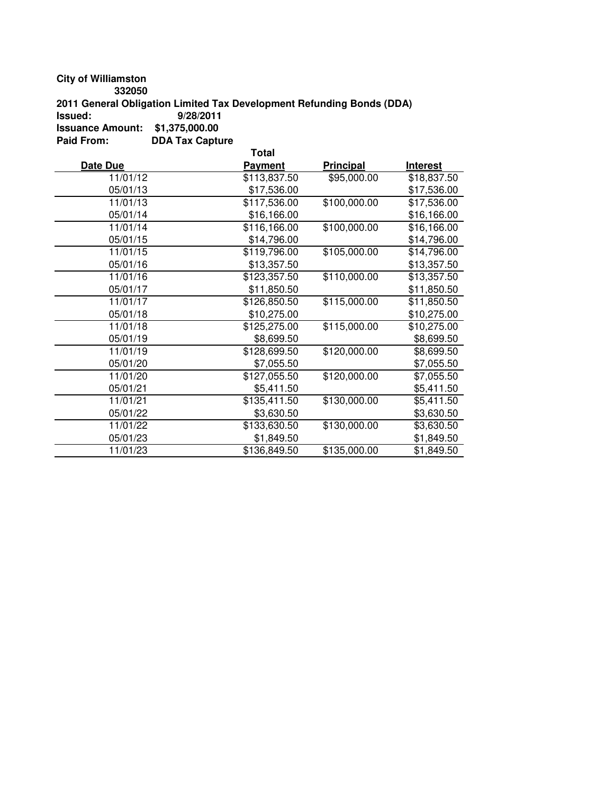**City of Williamston**

**332050**

**2011 General Obligation Limited Tax Development Refunding Bonds (DDA)**

**Issued: 9/28/2011**

**Issuance Amount: \$1,375,000.00 Paid From: DDA Tax Capture**

**Total Date Due Payment Principal Interest** 11/01/12 \$113,837.50 \$95,000.00 \$18,837.50 05/01/13 \$17,536.00 \$17,536.00 11/01/13 \$117,536.00 \$100,000.00 \$17,536.00 05/01/14 \$16,166.00 \$16,166.00 11/01/14 \$116,166.00 \$100,000.00 \$16,166.00 05/01/15 \$14,796.00 \$14,796.00 11/01/15 \$119,796.00 \$105,000.00 \$14,796.00 05/01/16 \$13,357.50 \$13,357.50 11/01/16 \$123,357.50 \$110,000.00 \$13,357.50 05/01/17 \$11,850.50 \$11,850.50 11/01/17 \$126,850.50 \$115,000.00 \$11,850.50 05/01/18 \$10,275.00 \$10,275.00 11/01/18 \$125,275.00 \$115,000.00 \$10,275.00 05/01/19 \$8,699.50 \$8,699.50 \$8,699.50 11/01/19 \$128,699.50 \$120,000.00 \$8,699.50 05/01/20 \$7,055.50 \$7,055.50 11/01/20 \$127,055.50 \$120,000.00 \$7,055.50 05/01/21 \$5,411.50 \$5,411.50 11/01/21 \$135,411.50 \$130,000.00 \$5,411.50 05/01/22 \$3,630.50 \$3,630.50 11/01/22 \$133,630.50 \$130,000.00 \$3,630.50 05/01/23 \$1,849.50 \$1,849.50 11/01/23 \$136,849.50 \$135,000.00 \$1,849.50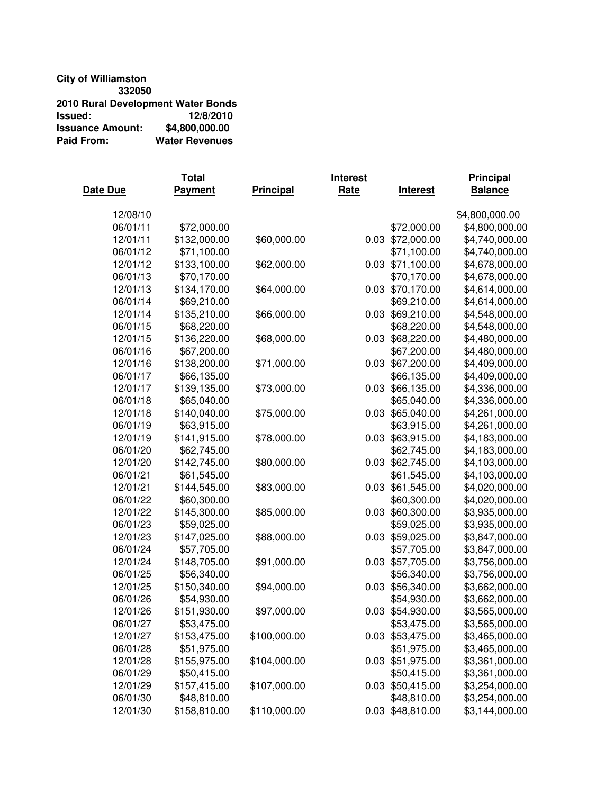### **City of Williamston 332050 2010 Rural Development Water Bonds Issued: 12/8/2010 Issuance Amount:**<br>Paid From: **Water Revenues**

|          | Total          |                  | <b>Interest</b> |                  | <b>Principal</b> |
|----------|----------------|------------------|-----------------|------------------|------------------|
| Date Due | <b>Payment</b> | <b>Principal</b> | Rate            | <b>Interest</b>  | <b>Balance</b>   |
| 12/08/10 |                |                  |                 |                  | \$4,800,000.00   |
| 06/01/11 | \$72,000.00    |                  |                 | \$72,000.00      | \$4,800,000.00   |
| 12/01/11 | \$132,000.00   | \$60,000.00      |                 | 0.03 \$72,000.00 | \$4,740,000.00   |
| 06/01/12 | \$71,100.00    |                  |                 | \$71,100.00      | \$4,740,000.00   |
| 12/01/12 | \$133,100.00   | \$62,000.00      |                 | 0.03 \$71,100.00 | \$4,678,000.00   |
| 06/01/13 | \$70,170.00    |                  |                 | \$70,170.00      | \$4,678,000.00   |
| 12/01/13 | \$134,170.00   | \$64,000.00      |                 | 0.03 \$70,170.00 | \$4,614,000.00   |
| 06/01/14 | \$69,210.00    |                  |                 | \$69,210.00      | \$4,614,000.00   |
| 12/01/14 | \$135,210.00   | \$66,000.00      | 0.03            | \$69,210.00      | \$4,548,000.00   |
| 06/01/15 | \$68,220.00    |                  |                 | \$68,220.00      | \$4,548,000.00   |
| 12/01/15 | \$136,220.00   | \$68,000.00      | 0.03            | \$68,220.00      | \$4,480,000.00   |
| 06/01/16 | \$67,200.00    |                  |                 | \$67,200.00      | \$4,480,000.00   |
| 12/01/16 | \$138,200.00   | \$71,000.00      | 0.03            | \$67,200.00      | \$4,409,000.00   |
| 06/01/17 | \$66,135.00    |                  |                 | \$66,135.00      | \$4,409,000.00   |
| 12/01/17 | \$139,135.00   | \$73,000.00      | 0.03            | \$66,135.00      | \$4,336,000.00   |
| 06/01/18 | \$65,040.00    |                  |                 | \$65,040.00      | \$4,336,000.00   |
| 12/01/18 | \$140,040.00   | \$75,000.00      |                 | 0.03 \$65,040.00 | \$4,261,000.00   |
| 06/01/19 | \$63,915.00    |                  |                 | \$63,915.00      | \$4,261,000.00   |
| 12/01/19 | \$141,915.00   | \$78,000.00      |                 | 0.03 \$63,915.00 | \$4,183,000.00   |
| 06/01/20 | \$62,745.00    |                  |                 | \$62,745.00      | \$4,183,000.00   |
| 12/01/20 | \$142,745.00   | \$80,000.00      |                 | 0.03 \$62,745.00 | \$4,103,000.00   |
| 06/01/21 | \$61,545.00    |                  |                 | \$61,545.00      | \$4,103,000.00   |
| 12/01/21 | \$144,545.00   | \$83,000.00      |                 | 0.03 \$61,545.00 | \$4,020,000.00   |
| 06/01/22 | \$60,300.00    |                  |                 | \$60,300.00      | \$4,020,000.00   |
| 12/01/22 | \$145,300.00   | \$85,000.00      | 0.03            | \$60,300.00      | \$3,935,000.00   |
| 06/01/23 | \$59,025.00    |                  |                 | \$59,025.00      | \$3,935,000.00   |
| 12/01/23 | \$147,025.00   | \$88,000.00      | 0.03            | \$59,025.00      | \$3,847,000.00   |
| 06/01/24 | \$57,705.00    |                  |                 | \$57,705.00      | \$3,847,000.00   |
| 12/01/24 | \$148,705.00   | \$91,000.00      | 0.03            | \$57,705.00      | \$3,756,000.00   |
| 06/01/25 | \$56,340.00    |                  |                 | \$56,340.00      | \$3,756,000.00   |
| 12/01/25 | \$150,340.00   | \$94,000.00      | 0.03            | \$56,340.00      | \$3,662,000.00   |
| 06/01/26 | \$54,930.00    |                  |                 | \$54,930.00      | \$3,662,000.00   |
| 12/01/26 | \$151,930.00   | \$97,000.00      |                 | 0.03 \$54,930.00 | \$3,565,000.00   |
| 06/01/27 | \$53,475.00    |                  |                 | \$53,475.00      | \$3,565,000.00   |
| 12/01/27 | \$153,475.00   | \$100,000.00     |                 | 0.03 \$53,475.00 | \$3,465,000.00   |
| 06/01/28 | \$51,975.00    |                  |                 | \$51,975.00      | \$3,465,000.00   |
| 12/01/28 | \$155,975.00   | \$104,000.00     |                 | 0.03 \$51,975.00 | \$3,361,000.00   |
| 06/01/29 | \$50,415.00    |                  |                 | \$50,415.00      | \$3,361,000.00   |
| 12/01/29 | \$157,415.00   | \$107,000.00     |                 | 0.03 \$50,415.00 | \$3,254,000.00   |
| 06/01/30 | \$48,810.00    |                  |                 | \$48,810.00      | \$3,254,000.00   |
| 12/01/30 | \$158,810.00   | \$110,000.00     |                 | 0.03 \$48,810.00 | \$3,144,000.00   |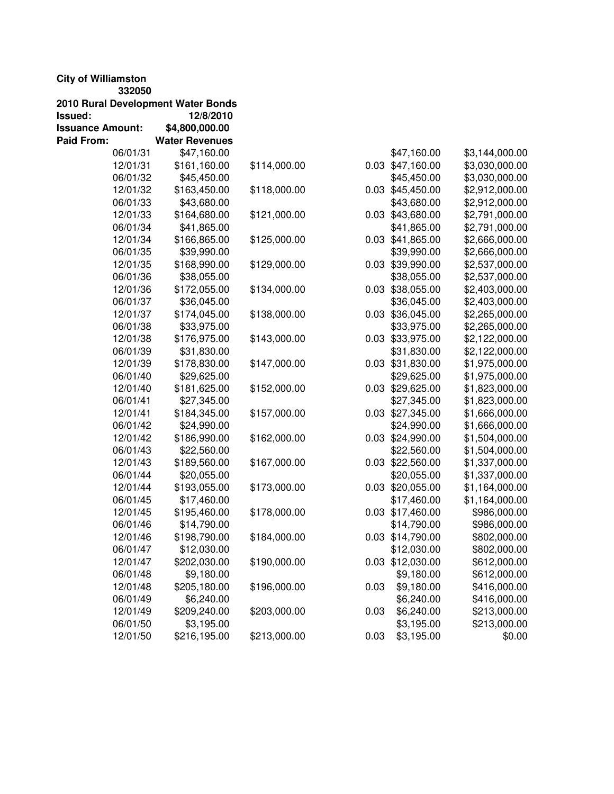## **City of Williamston**

**332050**

| 2010 Rural Development Water Bonds |                       |              |      |                  |                |
|------------------------------------|-----------------------|--------------|------|------------------|----------------|
| Issued:                            | 12/8/2010             |              |      |                  |                |
| <b>Issuance Amount:</b>            | \$4,800,000.00        |              |      |                  |                |
| Paid From:                         | <b>Water Revenues</b> |              |      |                  |                |
| 06/01/31                           | \$47,160.00           |              |      | \$47,160.00      | \$3,144,000.00 |
| 12/01/31                           | \$161,160.00          | \$114,000.00 |      | 0.03 \$47,160.00 | \$3,030,000.00 |
| 06/01/32                           | \$45,450.00           |              |      | \$45,450.00      | \$3,030,000.00 |
| 12/01/32                           | \$163,450.00          | \$118,000.00 |      | 0.03 \$45,450.00 | \$2,912,000.00 |
| 06/01/33                           | \$43,680.00           |              |      | \$43,680.00      | \$2,912,000.00 |
| 12/01/33                           | \$164,680.00          | \$121,000.00 |      | 0.03 \$43,680.00 | \$2,791,000.00 |
| 06/01/34                           | \$41,865.00           |              |      | \$41,865.00      | \$2,791,000.00 |
| 12/01/34                           | \$166,865.00          | \$125,000.00 |      | 0.03 \$41,865.00 | \$2,666,000.00 |
| 06/01/35                           | \$39,990.00           |              |      | \$39,990.00      | \$2,666,000.00 |
| 12/01/35                           | \$168,990.00          | \$129,000.00 |      | 0.03 \$39,990.00 | \$2,537,000.00 |
| 06/01/36                           | \$38,055.00           |              |      | \$38,055.00      | \$2,537,000.00 |
| 12/01/36                           | \$172,055.00          | \$134,000.00 |      | 0.03 \$38,055.00 | \$2,403,000.00 |
| 06/01/37                           | \$36,045.00           |              |      | \$36,045.00      | \$2,403,000.00 |
| 12/01/37                           | \$174,045.00          | \$138,000.00 |      | 0.03 \$36,045.00 | \$2,265,000.00 |
| 06/01/38                           | \$33,975.00           |              |      | \$33,975.00      | \$2,265,000.00 |
| 12/01/38                           | \$176,975.00          | \$143,000.00 |      | 0.03 \$33,975.00 | \$2,122,000.00 |
| 06/01/39                           | \$31,830.00           |              |      | \$31,830.00      | \$2,122,000.00 |
| 12/01/39                           | \$178,830.00          | \$147,000.00 |      | 0.03 \$31,830.00 | \$1,975,000.00 |
| 06/01/40                           | \$29,625.00           |              |      | \$29,625.00      | \$1,975,000.00 |
| 12/01/40                           | \$181,625.00          | \$152,000.00 |      | 0.03 \$29,625.00 | \$1,823,000.00 |
| 06/01/41                           | \$27,345.00           |              |      | \$27,345.00      | \$1,823,000.00 |
| 12/01/41                           | \$184,345.00          | \$157,000.00 |      | 0.03 \$27,345.00 | \$1,666,000.00 |
| 06/01/42                           | \$24,990.00           |              |      | \$24,990.00      | \$1,666,000.00 |
| 12/01/42                           | \$186,990.00          | \$162,000.00 |      | 0.03 \$24,990.00 | \$1,504,000.00 |
| 06/01/43                           | \$22,560.00           |              |      | \$22,560.00      | \$1,504,000.00 |
| 12/01/43                           | \$189,560.00          | \$167,000.00 |      | 0.03 \$22,560.00 | \$1,337,000.00 |
| 06/01/44                           | \$20,055.00           |              |      | \$20,055.00      | \$1,337,000.00 |
| 12/01/44                           | \$193,055.00          | \$173,000.00 |      | 0.03 \$20,055.00 | \$1,164,000.00 |
| 06/01/45                           | \$17,460.00           |              |      | \$17,460.00      | \$1,164,000.00 |
| 12/01/45                           | \$195,460.00          | \$178,000.00 |      | 0.03 \$17,460.00 | \$986,000.00   |
| 06/01/46                           | \$14,790.00           |              |      | \$14,790.00      | \$986,000.00   |
| 12/01/46                           | \$198,790.00          | \$184,000.00 |      | 0.03 \$14,790.00 | \$802,000.00   |
| 06/01/47                           | \$12,030.00           |              |      | \$12,030.00      | \$802,000.00   |
| 12/01/47                           | \$202,030.00          | \$190,000.00 |      | 0.03 \$12,030.00 | \$612,000.00   |
| 06/01/48                           | \$9,180.00            |              |      | \$9,180.00       | \$612,000.00   |
| 12/01/48                           | \$205,180.00          | \$196,000.00 | 0.03 | \$9,180.00       | \$416,000.00   |
| 06/01/49                           | \$6,240.00            |              |      | \$6,240.00       | \$416,000.00   |
| 12/01/49                           | \$209,240.00          | \$203,000.00 | 0.03 | \$6,240.00       | \$213,000.00   |
| 06/01/50                           | \$3,195.00            |              |      | \$3,195.00       | \$213,000.00   |
| 12/01/50                           | \$216,195.00          | \$213,000.00 | 0.03 | \$3,195.00       | \$0.00         |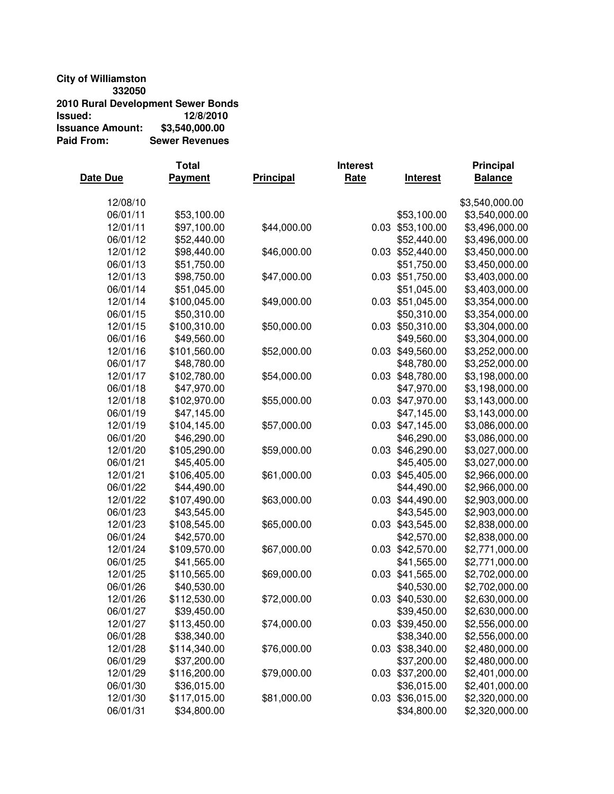# **City of Williamston**

**332050 2010 Rural Development Sewer Bonds Issued: 12/8/2010 Issuance Amount:**<br>Paid From: **Sewer Revenues** 

|          | Total        |                  | <b>Interest</b> |                  | <b>Principal</b> |
|----------|--------------|------------------|-----------------|------------------|------------------|
| Date Due | Payment      | <b>Principal</b> | Rate            | <b>Interest</b>  | <b>Balance</b>   |
| 12/08/10 |              |                  |                 |                  | \$3,540,000.00   |
| 06/01/11 | \$53,100.00  |                  |                 | \$53,100.00      | \$3,540,000.00   |
| 12/01/11 | \$97,100.00  | \$44,000.00      |                 | 0.03 \$53,100.00 | \$3,496,000.00   |
| 06/01/12 | \$52,440.00  |                  |                 | \$52,440.00      | \$3,496,000.00   |
| 12/01/12 | \$98,440.00  | \$46,000.00      |                 | 0.03 \$52,440.00 | \$3,450,000.00   |
| 06/01/13 | \$51,750.00  |                  |                 | \$51,750.00      | \$3,450,000.00   |
| 12/01/13 | \$98,750.00  | \$47,000.00      | 0.03            | \$51,750.00      | \$3,403,000.00   |
| 06/01/14 | \$51,045.00  |                  |                 | \$51,045.00      | \$3,403,000.00   |
| 12/01/14 | \$100,045.00 | \$49,000.00      | 0.03            | \$51,045.00      | \$3,354,000.00   |
| 06/01/15 | \$50,310.00  |                  |                 | \$50,310.00      | \$3,354,000.00   |
| 12/01/15 | \$100,310.00 | \$50,000.00      | 0.03            | \$50,310.00      | \$3,304,000.00   |
| 06/01/16 | \$49,560.00  |                  |                 | \$49,560.00      | \$3,304,000.00   |
| 12/01/16 | \$101,560.00 | \$52,000.00      | 0.03            | \$49,560.00      | \$3,252,000.00   |
| 06/01/17 | \$48,780.00  |                  |                 | \$48,780.00      | \$3,252,000.00   |
| 12/01/17 | \$102,780.00 | \$54,000.00      | 0.03            | \$48,780.00      | \$3,198,000.00   |
| 06/01/18 | \$47,970.00  |                  |                 | \$47,970.00      | \$3,198,000.00   |
| 12/01/18 | \$102,970.00 | \$55,000.00      |                 | 0.03 \$47,970.00 | \$3,143,000.00   |
| 06/01/19 | \$47,145.00  |                  |                 | \$47,145.00      | \$3,143,000.00   |
| 12/01/19 | \$104,145.00 | \$57,000.00      |                 | 0.03 \$47,145.00 | \$3,086,000.00   |
| 06/01/20 | \$46,290.00  |                  |                 | \$46,290.00      | \$3,086,000.00   |
| 12/01/20 | \$105,290.00 | \$59,000.00      |                 | 0.03 \$46,290.00 | \$3,027,000.00   |
| 06/01/21 | \$45,405.00  |                  |                 | \$45,405.00      | \$3,027,000.00   |
| 12/01/21 | \$106,405.00 | \$61,000.00      | 0.03            | \$45,405.00      | \$2,966,000.00   |
| 06/01/22 | \$44,490.00  |                  |                 | \$44,490.00      | \$2,966,000.00   |
| 12/01/22 | \$107,490.00 | \$63,000.00      |                 | 0.03 \$44,490.00 | \$2,903,000.00   |
| 06/01/23 | \$43,545.00  |                  |                 | \$43,545.00      | \$2,903,000.00   |
| 12/01/23 | \$108,545.00 | \$65,000.00      | 0.03            | \$43,545.00      | \$2,838,000.00   |
| 06/01/24 | \$42,570.00  |                  |                 | \$42,570.00      | \$2,838,000.00   |
| 12/01/24 | \$109,570.00 | \$67,000.00      | 0.03            | \$42,570.00      | \$2,771,000.00   |
| 06/01/25 | \$41,565.00  |                  |                 | \$41,565.00      | \$2,771,000.00   |
| 12/01/25 | \$110,565.00 | \$69,000.00      | 0.03            | \$41,565.00      | \$2,702,000.00   |
| 06/01/26 | \$40,530.00  |                  |                 | \$40,530.00      | \$2,702,000.00   |
| 12/01/26 | \$112,530.00 | \$72,000.00      | 0.03            | \$40,530.00      | \$2,630,000.00   |
| 06/01/27 | \$39,450.00  |                  |                 | \$39,450.00      | \$2,630,000.00   |
| 12/01/27 | \$113,450.00 | \$74,000.00      |                 | 0.03 \$39,450.00 | \$2,556,000.00   |
| 06/01/28 | \$38,340.00  |                  |                 | \$38,340.00      | \$2,556,000.00   |
| 12/01/28 | \$114,340.00 | \$76,000.00      |                 | 0.03 \$38,340.00 | \$2,480,000.00   |
| 06/01/29 | \$37,200.00  |                  |                 | \$37,200.00      | \$2,480,000.00   |
| 12/01/29 | \$116,200.00 | \$79,000.00      |                 | 0.03 \$37,200.00 | \$2,401,000.00   |
| 06/01/30 | \$36,015.00  |                  |                 | \$36,015.00      | \$2,401,000.00   |
| 12/01/30 | \$117,015.00 | \$81,000.00      |                 | 0.03 \$36,015.00 | \$2,320,000.00   |
| 06/01/31 | \$34,800.00  |                  |                 | \$34,800.00      | \$2,320,000.00   |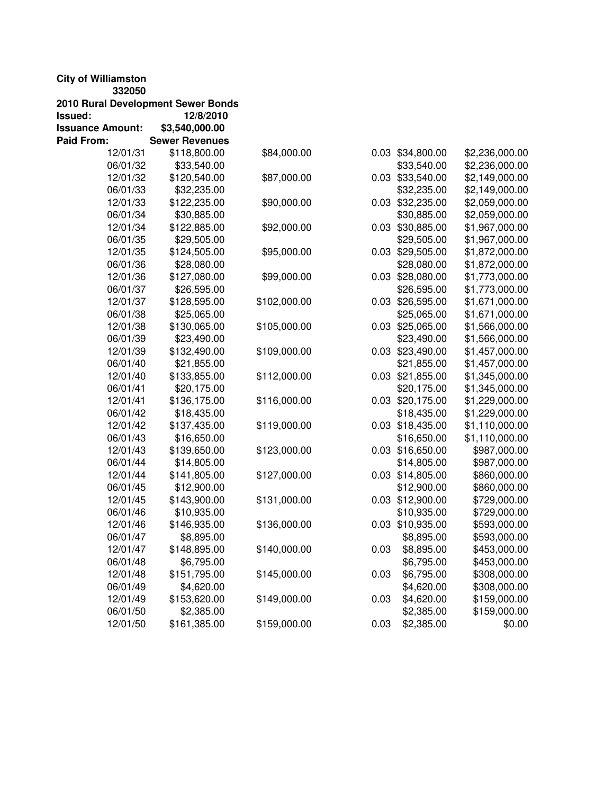| <b>City of Williamston</b> |                                    |              |      |                  |                |
|----------------------------|------------------------------------|--------------|------|------------------|----------------|
| 332050                     |                                    |              |      |                  |                |
|                            | 2010 Rural Development Sewer Bonds |              |      |                  |                |
| Issued:                    | 12/8/2010                          |              |      |                  |                |
| <b>Issuance Amount:</b>    | \$3,540,000.00                     |              |      |                  |                |
| <b>Paid From:</b>          | <b>Sewer Revenues</b>              |              |      |                  |                |
| 12/01/31                   | \$118,800.00                       | \$84,000.00  |      | 0.03 \$34,800.00 | \$2,236,000.00 |
| 06/01/32                   | \$33,540.00                        |              |      | \$33,540.00      | \$2,236,000.00 |
| 12/01/32                   | \$120,540.00                       | \$87,000.00  |      | 0.03 \$33,540.00 | \$2,149,000.00 |
| 06/01/33                   | \$32,235.00                        |              |      | \$32,235.00      | \$2,149,000.00 |
| 12/01/33                   | \$122,235.00                       | \$90,000.00  |      | 0.03 \$32,235.00 | \$2,059,000.00 |
| 06/01/34                   | \$30,885.00                        |              |      | \$30,885.00      | \$2,059,000.00 |
| 12/01/34                   | \$122,885.00                       | \$92,000.00  |      | 0.03 \$30,885.00 | \$1,967,000.00 |
| 06/01/35                   | \$29,505.00                        |              |      | \$29,505.00      | \$1,967,000.00 |
| 12/01/35                   | \$124,505.00                       | \$95,000.00  |      | 0.03 \$29,505.00 | \$1,872,000.00 |
| 06/01/36                   | \$28,080.00                        |              |      | \$28,080.00      | \$1,872,000.00 |
| 12/01/36                   | \$127,080.00                       | \$99,000.00  |      | 0.03 \$28,080.00 | \$1,773,000.00 |
| 06/01/37                   | \$26,595.00                        |              |      | \$26,595.00      | \$1,773,000.00 |
| 12/01/37                   | \$128,595.00                       | \$102,000.00 |      | 0.03 \$26,595.00 | \$1,671,000.00 |
| 06/01/38                   | \$25,065.00                        |              |      | \$25,065.00      | \$1,671,000.00 |
| 12/01/38                   | \$130,065.00                       | \$105,000.00 |      | 0.03 \$25,065.00 | \$1,566,000.00 |
| 06/01/39                   | \$23,490.00                        |              |      | \$23,490.00      | \$1,566,000.00 |
| 12/01/39                   | \$132,490.00                       | \$109,000.00 |      | 0.03 \$23,490.00 | \$1,457,000.00 |
| 06/01/40                   | \$21,855.00                        |              |      | \$21,855.00      | \$1,457,000.00 |
| 12/01/40                   | \$133,855.00                       | \$112,000.00 |      | 0.03 \$21,855.00 | \$1,345,000.00 |
| 06/01/41                   | \$20,175.00                        |              |      | \$20,175.00      | \$1,345,000.00 |
| 12/01/41                   | \$136,175.00                       | \$116,000.00 |      | 0.03 \$20,175.00 | \$1,229,000.00 |
| 06/01/42                   | \$18,435.00                        |              |      | \$18,435.00      | \$1,229,000.00 |
| 12/01/42                   | \$137,435.00                       | \$119,000.00 |      | 0.03 \$18,435.00 | \$1,110,000.00 |
| 06/01/43                   | \$16,650.00                        |              |      | \$16,650.00      | \$1,110,000.00 |
| 12/01/43                   | \$139,650.00                       | \$123,000.00 |      | 0.03 \$16,650.00 | \$987,000.00   |
| 06/01/44                   | \$14,805.00                        |              |      | \$14,805.00      | \$987,000.00   |
| 12/01/44                   | \$141,805.00                       | \$127,000.00 |      | 0.03 \$14,805.00 | \$860,000.00   |
| 06/01/45                   | \$12,900.00                        |              |      | \$12,900.00      | \$860,000.00   |
| 12/01/45                   | \$143,900.00                       | \$131,000.00 |      | 0.03 \$12,900.00 | \$729,000.00   |
| 06/01/46                   | \$10,935.00                        |              |      | \$10,935.00      | \$729,000.00   |
| 12/01/46                   | \$146,935.00                       | \$136,000.00 |      | 0.03 \$10,935.00 | \$593,000.00   |
| 06/01/47                   | \$8,895.00                         |              |      | \$8,895.00       | \$593,000.00   |
| 12/01/47                   | \$148,895.00                       | \$140,000.00 | 0.03 | \$8,895.00       | \$453,000.00   |
| 06/01/48                   | \$6,795.00                         |              |      | \$6,795.00       | \$453,000.00   |
| 12/01/48                   | \$151,795.00                       | \$145,000.00 | 0.03 | \$6,795.00       | \$308,000.00   |
| 06/01/49                   | \$4,620.00                         |              |      | \$4,620.00       | \$308,000.00   |
| 12/01/49                   | \$153,620.00                       | \$149,000.00 | 0.03 | \$4,620.00       | \$159,000.00   |
| 06/01/50                   | \$2,385.00                         |              |      | \$2,385.00       | \$159,000.00   |
| 12/01/50                   | \$161,385.00                       | \$159,000.00 | 0.03 | \$2,385.00       | \$0.00         |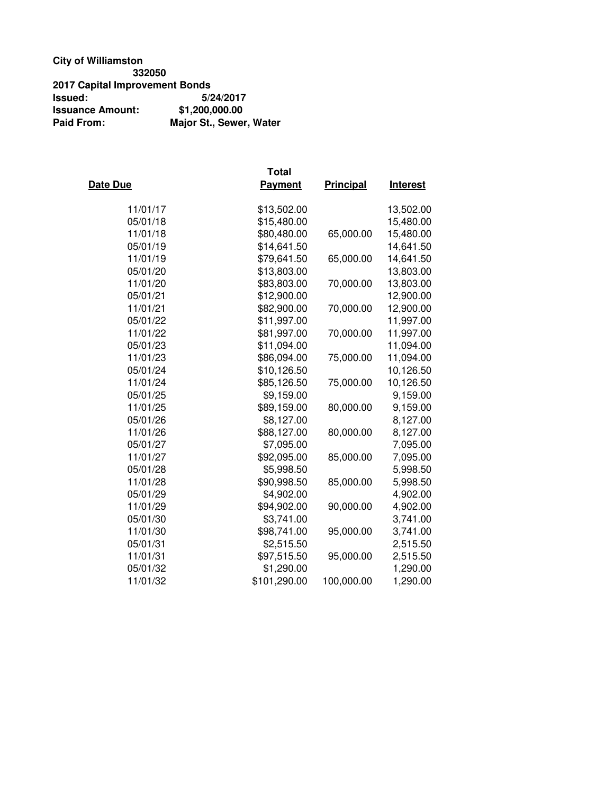### **City of Williamston 332050 2017 Capital Improvement Bonds Issued: 5/24/2017 Issuance Amount:**<br>Paid From: **Major St., Sewer, Water**

| Date Due | <b>Total</b><br>Payment | Principal  | <b>Interest</b> |
|----------|-------------------------|------------|-----------------|
| 11/01/17 | \$13,502.00             |            | 13,502.00       |
| 05/01/18 | \$15,480.00             |            | 15,480.00       |
| 11/01/18 | \$80,480.00             | 65,000.00  | 15,480.00       |
| 05/01/19 | \$14,641.50             |            | 14,641.50       |
| 11/01/19 | \$79,641.50             | 65,000.00  | 14,641.50       |
| 05/01/20 | \$13,803.00             |            | 13,803.00       |
| 11/01/20 | \$83,803.00             | 70,000.00  | 13,803.00       |
| 05/01/21 | \$12,900.00             |            | 12,900.00       |
| 11/01/21 | \$82,900.00             | 70,000.00  | 12,900.00       |
| 05/01/22 | \$11,997.00             |            | 11,997.00       |
| 11/01/22 | \$81,997.00             | 70,000.00  | 11,997.00       |
| 05/01/23 | \$11,094.00             |            | 11,094.00       |
| 11/01/23 | \$86,094.00             | 75,000.00  | 11,094.00       |
| 05/01/24 | \$10,126.50             |            | 10,126.50       |
| 11/01/24 | \$85,126.50             | 75,000.00  | 10,126.50       |
| 05/01/25 | \$9,159.00              |            | 9,159.00        |
| 11/01/25 | \$89,159.00             | 80,000.00  | 9,159.00        |
| 05/01/26 | \$8,127.00              |            | 8,127.00        |
| 11/01/26 | \$88,127.00             | 80,000.00  | 8,127.00        |
| 05/01/27 | \$7,095.00              |            | 7,095.00        |
| 11/01/27 | \$92,095.00             | 85,000.00  | 7,095.00        |
| 05/01/28 | \$5,998.50              |            | 5,998.50        |
| 11/01/28 | \$90,998.50             | 85,000.00  | 5,998.50        |
| 05/01/29 | \$4,902.00              |            | 4,902.00        |
| 11/01/29 | \$94,902.00             | 90,000.00  | 4,902.00        |
| 05/01/30 | \$3,741.00              |            | 3,741.00        |
| 11/01/30 | \$98,741.00             | 95,000.00  | 3,741.00        |
| 05/01/31 | \$2,515.50              |            | 2,515.50        |
| 11/01/31 | \$97,515.50             | 95,000.00  | 2,515.50        |
| 05/01/32 | \$1,290.00              |            | 1,290.00        |
| 11/01/32 | \$101,290.00            | 100,000.00 | 1,290.00        |